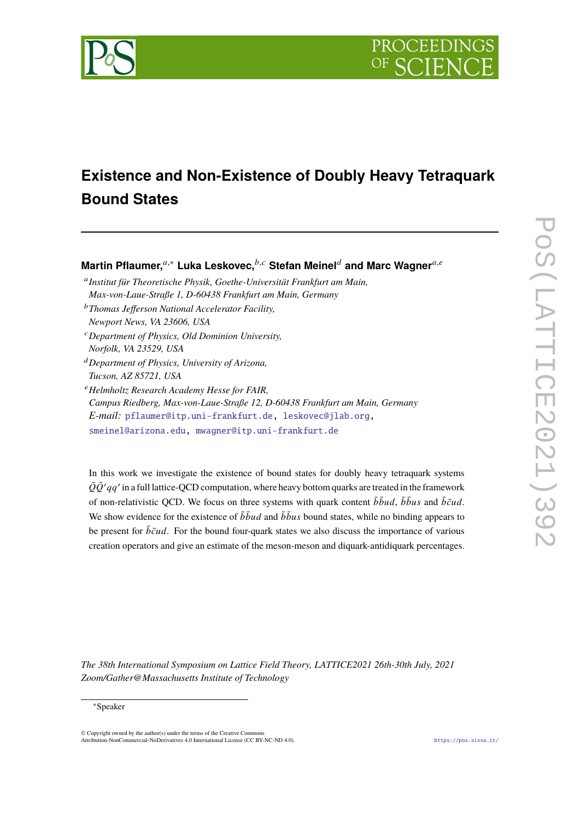



# **Existence and Non-Existence of Doubly Heavy Tetraquark Bound States**

**Martin Pflaumer,**<sup>a,∗</sup> Luka Leskovec,<sup>*b,c*</sup> Stefan Meinel<sup>d</sup> and Marc Wagner<sup>a,e</sup>

<sup>a</sup>Institut für Theoretische Physik, Goethe-Universität Frankfurt am Main, *Max-von-Laue-Straße 1, D-60438 Frankfurt am Main, Germany*

<sup>𝑏</sup>*Thomas Jefferson National Accelerator Facility,*

*Newport News, VA 23606, USA*

<sup>𝑐</sup>*Department of Physics, Old Dominion University,*

*Norfolk, VA 23529, USA*

<sup>𝑑</sup>*Department of Physics, University of Arizona, Tucson, AZ 85721, USA*

<sup>𝑒</sup>*Helmholtz Research Academy Hesse for FAIR,*

*Campus Riedberg, Max-von-Laue-Straße 12, D-60438 Frankfurt am Main, Germany E-mail:* [pflaumer@itp.uni-frankfurt.de,](mailto:pflaumer@itp.uni-frankfurt.de) [leskovec@jlab.org,](mailto:leskovec@jlab.org) [smeinel@arizona.edu,](mailto:smeinel@arizona.edu) [mwagner@itp.uni-frankfurt.de](mailto:mwagner@itp.uni-frankfurt.de)

In this work we investigate the existence of bound states for doubly heavy tetraquark systems  $\bar{Q}\bar{Q}' qq'$  in a full lattice-QCD computation, where heavy bottom quarks are treated in the framework of non-relativistic QCD. We focus on three systems with quark content  $\bar{b} \bar{b} u d$ ,  $\bar{b} \bar{b} u s$  and  $\bar{b} \bar{c} u d$ . We show evidence for the existence of  $\bar{b} \bar{b} u d$  and  $\bar{b} \bar{b} u s$  bound states, while no binding appears to be present for  $\bar{b}\bar{c}ud$ . For the bound four-quark states we also discuss the importance of various creation operators and give an estimate of the meson-meson and diquark-antidiquark percentages.

*The 38th International Symposium on Lattice Field Theory, LATTICE2021 26th-30th July, 2021 Zoom/Gather@Massachusetts Institute of Technology*

#### <sup>∗</sup>Speaker

 $\odot$  Copyright owned by the author(s) under the terms of the Creative Common Attribution-NonCommercial-NoDerivatives 4.0 International License (CC BY-NC-ND 4.0). <https://pos.sissa.it/>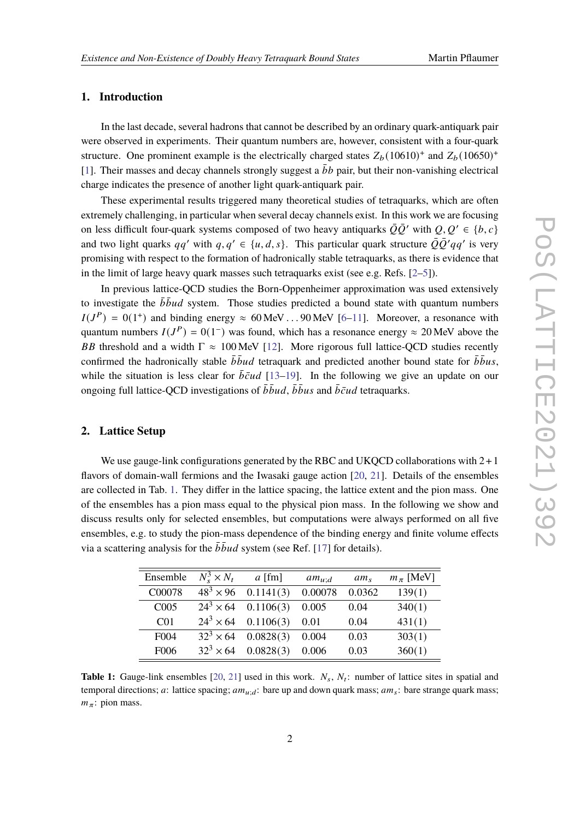### **1. Introduction**

In the last decade, several hadrons that cannot be described by an ordinary quark-antiquark pair were observed in experiments. Their quantum numbers are, however, consistent with a four-quark structure. One prominent example is the electrically charged states  $Z_b(10610)^+$  and  $Z_b(10650)^+$ [\[1\]](#page-7-0). Their masses and decay channels strongly suggest a  $\bar{b}b$  pair, but their non-vanishing electrical charge indicates the presence of another light quark-antiquark pair.

These experimental results triggered many theoretical studies of tetraquarks, which are often extremely challenging, in particular when several decay channels exist. In this work we are focusing on less difficult four-quark systems composed of two heavy antiquarks  $\overline{O}O'$  with  $O, O' \in \{b, c\}$ and two light quarks  $qq'$  with  $q, q' \in \{u, d, s\}$ . This particular quark structure  $\bar{Q}\bar{Q}'qq'$  is very promising with respect to the formation of hadronically stable tetraquarks, as there is evidence that in the limit of large heavy quark masses such tetraquarks exist (see e.g. Refs. [\[2–](#page-7-1)[5\]](#page-7-2)).

In previous lattice-QCD studies the Born-Oppenheimer approximation was used extensively to investigate the  $\bar{b} \bar{b} u d$  system. Those studies predicted a bound state with quantum numbers  $I(J^P) = 0(1^+)$  and binding energy  $\approx 60 \,\text{MeV} \dots 90 \,\text{MeV}$  [\[6](#page-7-3)[–11\]](#page-7-4). Moreover, a resonance with quantum numbers  $I(J^P) = 0(1^-)$  was found, which has a resonance energy  $\approx 20$  MeV above the BB threshold and a width  $\Gamma \approx 100$  MeV [\[12\]](#page-7-5). More rigorous full lattice-OCD studies recently confirmed the hadronically stable  $\bar{b} \bar{b} u d$  tetraquark and predicted another bound state for  $\bar{b} \bar{b} u s$ , while the situation is less clear for  $\bar{b}\bar{c}ud$  [\[13](#page-7-6)[–19\]](#page-8-0). In the following we give an update on our ongoing full lattice-OCD investigations of  $\bar{b} \bar{b} u d$ ,  $\bar{b} \bar{b} u s$  and  $\bar{b} \bar{c} u d$  tetraquarks.

### **2. Lattice Setup**

We use gauge-link configurations generated by the RBC and UKQCD collaborations with  $2+1$ flavors of domain-wall fermions and the Iwasaki gauge action [\[20,](#page-8-1) [21\]](#page-8-2). Details of the ensembles are collected in Tab. [1.](#page-1-0) They differ in the lattice spacing, the lattice extent and the pion mass. One of the ensembles has a pion mass equal to the physical pion mass. In the following we show and discuss results only for selected ensembles, but computations were always performed on all five ensembles, e.g. to study the pion-mass dependence of the binding energy and finite volume effects via a scattering analysis for the  $\bar{b} \bar{b} u d$  system (see Ref. [\[17\]](#page-8-3) for details).

<span id="page-1-0"></span>

| Ensemble          | $N_s^3 \times N_t$ | $a$ [fm]  | $am_{u:d}$ | $am_{s}$ | $m_\pi$ [MeV] |
|-------------------|--------------------|-----------|------------|----------|---------------|
| C00078            | $48^{3} \times 96$ | 0.1141(3) | 0.00078    | 0.0362   | 139(1)        |
| C <sub>005</sub>  | $24^3 \times 64$   | 0.1106(3) | 0.005      | 0.04     | 340(1)        |
| C <sub>01</sub>   | $24^3 \times 64$   | 0.1106(3) | 0.01       | 0.04     | 431(1)        |
| F <sub>0</sub> 04 | $32^3 \times 64$   | 0.0828(3) | 0.004      | 0.03     | 303(1)        |
| F <sub>006</sub>  | $32^3 \times 64$   | 0.0828(3) | 0.006      | 0.03     | 360(1)        |

**Table 1:** Gauge-link ensembles [\[20,](#page-8-1) [21\]](#page-8-2) used in this work.  $N_s$ ,  $N_t$ : number of lattice sites in spatial and temporal directions; a: lattice spacing;  $am_{u'd}$ : bare up and down quark mass;  $am_s$ : bare strange quark mass;  $m_\pi$ : pion mass.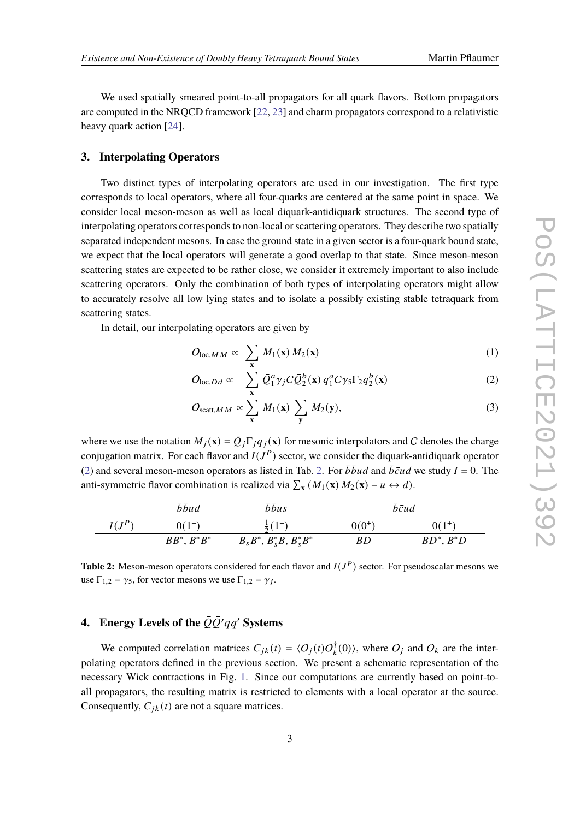We used spatially smeared point-to-all propagators for all quark flavors. Bottom propagators are computed in the NRQCD framework [\[22,](#page-8-4) [23\]](#page-8-5) and charm propagators correspond to a relativistic heavy quark action [\[24\]](#page-8-6).

#### **3. Interpolating Operators**

Two distinct types of interpolating operators are used in our investigation. The first type corresponds to local operators, where all four-quarks are centered at the same point in space. We consider local meson-meson as well as local diquark-antidiquark structures. The second type of interpolating operators corresponds to non-local or scattering operators. They describe two spatially separated independent mesons. In case the ground state in a given sector is a four-quark bound state, we expect that the local operators will generate a good overlap to that state. Since meson-meson scattering states are expected to be rather close, we consider it extremely important to also include scattering operators. Only the combination of both types of interpolating operators might allow to accurately resolve all low lying states and to isolate a possibly existing stable tetraquark from scattering states.

In detail, our interpolating operators are given by

<span id="page-2-0"></span>
$$
O_{\text{loc},MM} \propto \sum_{\mathbf{x}} M_1(\mathbf{x}) M_2(\mathbf{x}) \tag{1}
$$

$$
O_{\text{loc},Dd} \propto \sum_{\mathbf{x}} \bar{Q}_1^a \gamma_j C \bar{Q}_2^b(\mathbf{x}) q_1^a C \gamma_5 \Gamma_2 q_2^b(\mathbf{x}) \tag{2}
$$

$$
O_{\text{scatt},MM} \propto \sum_{\mathbf{x}} M_1(\mathbf{x}) \sum_{\mathbf{y}} M_2(\mathbf{y}), \tag{3}
$$

where we use the notation  $M_i(\mathbf{x}) = \overline{Q}_i \Gamma_i q_i(\mathbf{x})$  for mesonic interpolators and C denotes the charge conjugation matrix. For each flavor and  $I(J^P)$  sector, we consider the diquark-antidiquark operator [\(2\)](#page-2-0) and several meson-meson operators as listed in Tab. [2.](#page-2-1) For  $\bar{b} \bar{b} u d$  and  $\bar{b} \bar{c} u d$  we study  $I = 0$ . The anti-symmetric flavor combination is realized via  $\sum_{\mathbf{x}} (M_1(\mathbf{x}) M_2(\mathbf{x}) - u \leftrightarrow d)$ .

<span id="page-2-1"></span>

|                   | bbud           | bbus                          | $\bar{b}\bar{c}$ ud |                            |
|-------------------|----------------|-------------------------------|---------------------|----------------------------|
| $I \cap P$<br>11J | $0(1^{+})$     |                               | $0(0^{+})$          | . т                        |
|                   | $BB^*, B^*B^*$ | $B_s B^*, B_s^* B, B_s^* B^*$ | BD                  | $\cdot$ , $B^*D$<br>$BD^*$ |

**Table 2:** Meson-meson operators considered for each flavor and  $I(J^P)$  sector. For pseudoscalar mesons we use  $\Gamma_{1,2} = \gamma_5$ , for vector mesons we use  $\Gamma_{1,2} = \gamma_j$ .

## **4.** Energy Levels of the  $\overline{Q}\overline{Q}'qq'$  Systems

We computed correlation matrices  $C_{jk}(t) = \langle O_j(t)O_k^{\dagger}(0) \rangle$ , where  $O_j$  and  $O_k$  are the interpolating operators defined in the previous section. We present a schematic representation of the necessary Wick contractions in Fig. [1.](#page-3-0) Since our computations are currently based on point-toall propagators, the resulting matrix is restricted to elements with a local operator at the source. Consequently,  $C_{jk}(t)$  are not a square matrices.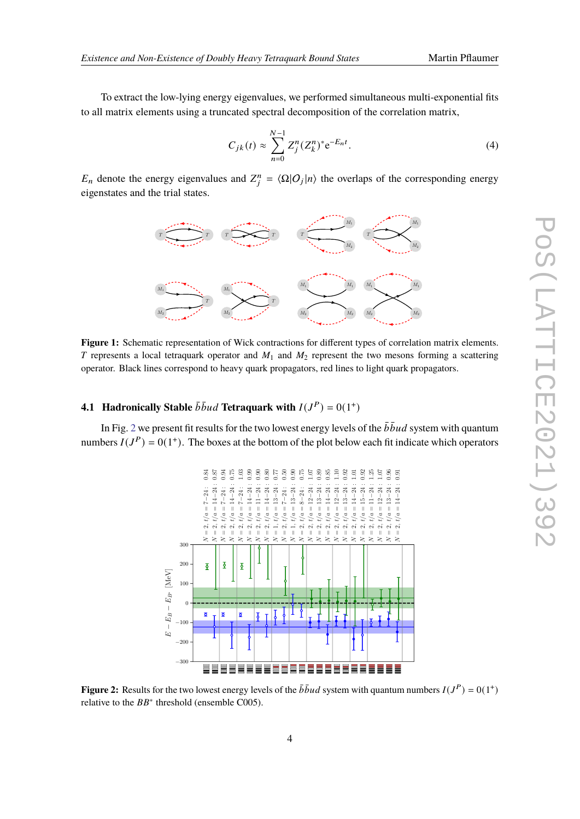To extract the low-lying energy eigenvalues, we performed simultaneous multi-exponential fits to all matrix elements using a truncated spectral decomposition of the correlation matrix,

<span id="page-3-2"></span>
$$
C_{jk}(t) \approx \sum_{n=0}^{N-1} Z_j^n (Z_k^n)^* e^{-E_n t}.
$$
 (4)

<span id="page-3-0"></span> $E_n$  denote the energy eigenvalues and  $Z_i^n = \langle \Omega | O_j | n \rangle$  the overlaps of the corresponding energy eigenstates and the trial states.



**Figure 1:** Schematic representation of Wick contractions for different types of correlation matrix elements. T represents a local tetraquark operator and  $M_1$  and  $M_2$  represent the two mesons forming a scattering operator. Black lines correspond to heavy quark propagators, red lines to light quark propagators.

### **4.1 Hadronically Stable**  $\bar{b} \bar{b} u d$  Tetraquark with  $I(J^P) = 0(1^+)$

<span id="page-3-1"></span>In Fig. [2](#page-3-1) we present fit results for the two lowest energy levels of the  $\bar{b} \bar{b} u d$  system with quantum numbers  $I(J^P) = 0(1^+)$ . The boxes at the bottom of the plot below each fit indicate which operators



**Figure 2:** Results for the two lowest energy levels of the  $\bar{b} \bar{b} u d$  system with quantum numbers  $I(J^P) = 0(1^+)$ relative to the  $BB^*$  threshold (ensemble C005).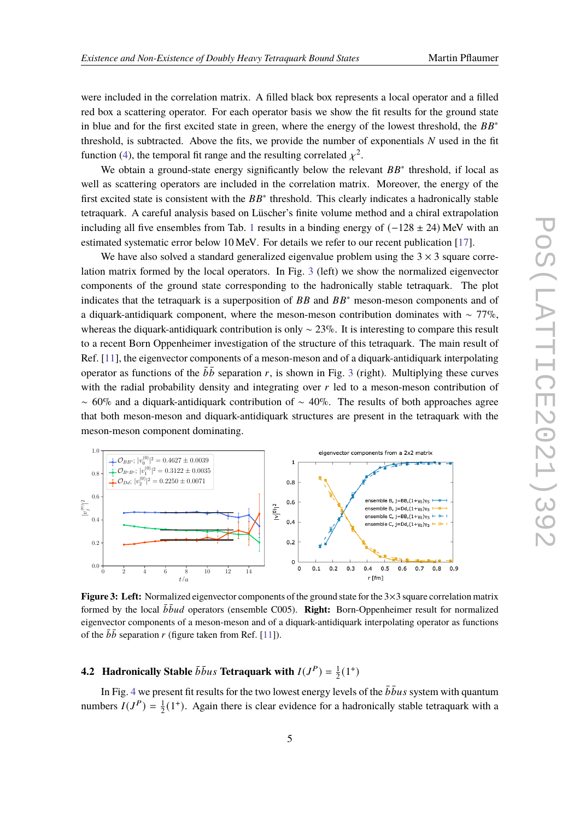were included in the correlation matrix. A filled black box represents a local operator and a filled red box a scattering operator. For each operator basis we show the fit results for the ground state in blue and for the first excited state in green, where the energy of the lowest threshold, the  $BB^*$ threshold, is subtracted. Above the fits, we provide the number of exponentials  $N$  used in the fit function [\(4\)](#page-3-2), the temporal fit range and the resulting correlated  $\chi^2$ .

We obtain a ground-state energy significantly below the relevant  $BB^*$  threshold, if local as well as scattering operators are included in the correlation matrix. Moreover, the energy of the first excited state is consistent with the  $BB^*$  threshold. This clearly indicates a hadronically stable tetraquark. A careful analysis based on Lüscher's finite volume method and a chiral extrapolation including all five ensembles from Tab. [1](#page-1-0) results in a binding energy of  $(-128 \pm 24)$  MeV with an estimated systematic error below 10 MeV. For details we refer to our recent publication [\[17\]](#page-8-3).

We have also solved a standard generalized eigenvalue problem using the  $3 \times 3$  square correlation matrix formed by the local operators. In Fig. [3](#page-4-0) (left) we show the normalized eigenvector components of the ground state corresponding to the hadronically stable tetraquark. The plot indicates that the tetraquark is a superposition of  $BB$  and  $BB^*$  meson-meson components and of a diquark-antidiquark component, where the meson-meson contribution dominates with ~ 77%, whereas the diquark-antidiquark contribution is only  $\sim$  23%. It is interesting to compare this result to a recent Born Oppenheimer investigation of the structure of this tetraquark. The main result of Ref. [\[11\]](#page-7-4), the eigenvector components of a meson-meson and of a diquark-antidiquark interpolating operator as functions of the  $b\bar{b}$  separation r, is shown in Fig. [3](#page-4-0) (right). Multiplying these curves with the radial probability density and integrating over  $r$  led to a meson-meson contribution of  $~\sim~60\%$  and a diquark-antidiquark contribution of  $~\sim~40\%$ . The results of both approaches agree that both meson-meson and diquark-antidiquark structures are present in the tetraquark with the meson-meson component dominating.

<span id="page-4-0"></span>

**Figure 3: Left:** Normalized eigenvector components of the ground state for the 3×3 square correlation matrix formed by the local  $b\bar{b}ud$  operators (ensemble C005). **Right:** Born-Oppenheimer result for normalized eigenvector components of a meson-meson and of a diquark-antidiquark interpolating operator as functions of the  $b\bar{b}$  separation r (figure taken from Ref. [\[11\]](#page-7-4)).

#### **4.2 Hadronically Stable**  $\bar{b} \bar{b} u s$  Tetraquark with  $I(J^P) = \frac{1}{2}$  $\frac{1}{2}(1^+)$

In Fig. [4](#page-5-0) we present fit results for the two lowest energy levels of the  $\bar{b}$   $\bar{b}u$ s system with quantum numbers  $I(J^P) = \frac{1}{2}$  $\frac{1}{2}(1^+)$ . Again there is clear evidence for a hadronically stable tetraquark with a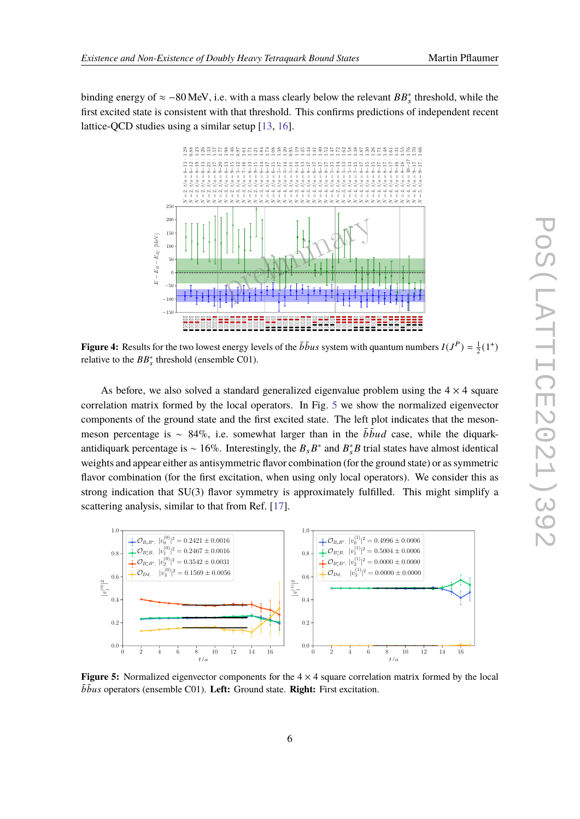<span id="page-5-0"></span>binding energy of  $\approx -80$  MeV, i.e. with a mass clearly below the relevant  $BB_s^*$  threshold, while the first excited state is consistent with that threshold. This confirms predictions of independent recent lattice-QCD studies using a similar setup [\[13,](#page-7-6) [16\]](#page-8-7).



**Figure 4:** Results for the two lowest energy levels of the  $b\bar{b}us$  system with quantum numbers  $I(J^P) = \frac{1}{2}(1^+)$ relative to the  $BB_s^*$  threshold (ensemble C01).

As before, we also solved a standard generalized eigenvalue problem using the  $4 \times 4$  square correlation matrix formed by the local operators. In Fig. [5](#page-5-1) we show the normalized eigenvector components of the ground state and the first excited state. The left plot indicates that the mesonmeson percentage is ~ 84%, i.e. somewhat larger than in the  $\bar{b} \bar{b} u d$  case, while the diquarkantidiquark percentage is ~ 16%. Interestingly, the  $B_s B^*$  and  $B_s^* B$  trial states have almost identical weights and appear either as antisymmetric flavor combination (for the ground state) or as symmetric flavor combination (for the first excitation, when using only local operators). We consider this as strong indication that SU(3) flavor symmetry is approximately fulfilled. This might simplify a scattering analysis, similar to that from Ref. [\[17\]](#page-8-3).

<span id="page-5-1"></span>

**Figure 5:** Normalized eigenvector components for the  $4 \times 4$  square correlation matrix formed by the local  $\overline{b}$ *bus* operators (ensemble C01). Left: Ground state. Right: First excitation.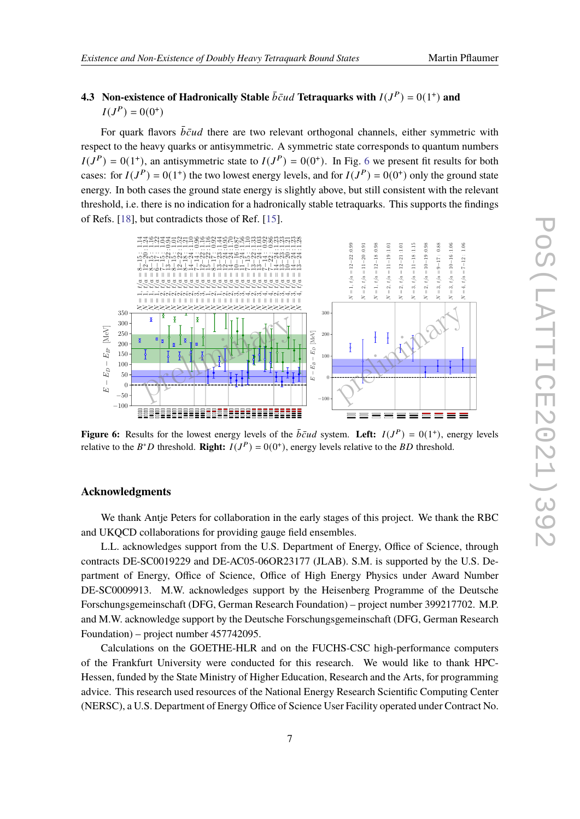### **4.3** Non-existence of Hadronically Stable  $\bar{b}\bar{c}ud$  Tetraquarks with  $I(J^P) = 0(1^+)$  and  $I(J^{P}) = 0(0^{+})$

For quark flavors  $\bar{b}\bar{c}ud$  there are two relevant orthogonal channels, either symmetric with respect to the heavy quarks or antisymmetric. A symmetric state corresponds to quantum numbers  $I(J^P) = 0(1^+)$ , an antisymmetric state to  $I(J^P) = 0(0^+)$ . In Fig. [6](#page-6-0) we present fit results for both cases: for  $I(J^P) = 0(1^+)$  the two lowest energy levels, and for  $I(J^P) = 0(0^+)$  only the ground state energy. In both cases the ground state energy is slightly above, but still consistent with the relevant threshold, i.e. there is no indication for a hadronically stable tetraquarks. This supports the findings of Refs. [\[18\]](#page-8-8), but contradicts those of Ref. [\[15\]](#page-8-9).

<span id="page-6-0"></span>

**Figure 6:** Results for the lowest energy levels of the  $\bar{b}\bar{c}ud$  system. Left:  $I(J^P) = 0(1^+)$ , energy levels relative to the  $B^*D$  threshold. **Right:**  $I(J^P) = 0(0^+)$ , energy levels relative to the *BD* threshold.

### **Acknowledgments**

We thank Antje Peters for collaboration in the early stages of this project. We thank the RBC and UKQCD collaborations for providing gauge field ensembles.

L.L. acknowledges support from the U.S. Department of Energy, Office of Science, through contracts DE-SC0019229 and DE-AC05-06OR23177 (JLAB). S.M. is supported by the U.S. Department of Energy, Office of Science, Office of High Energy Physics under Award Number DE-SC0009913. M.W. acknowledges support by the Heisenberg Programme of the Deutsche Forschungsgemeinschaft (DFG, German Research Foundation) – project number 399217702. M.P. and M.W. acknowledge support by the Deutsche Forschungsgemeinschaft (DFG, German Research Foundation) – project number 457742095.

Calculations on the GOETHE-HLR and on the FUCHS-CSC high-performance computers of the Frankfurt University were conducted for this research. We would like to thank HPC-Hessen, funded by the State Ministry of Higher Education, Research and the Arts, for programming advice. This research used resources of the National Energy Research Scientific Computing Center (NERSC), a U.S. Department of Energy Office of Science User Facility operated under Contract No.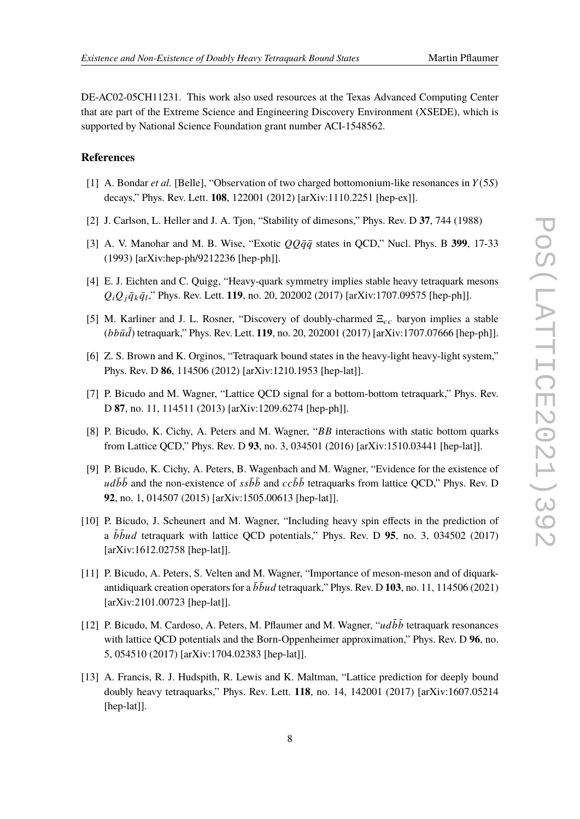DE-AC02-05CH11231. This work also used resources at the Texas Advanced Computing Center that are part of the Extreme Science and Engineering Discovery Environment (XSEDE), which is supported by National Science Foundation grant number ACI-1548562.

### **References**

- <span id="page-7-0"></span>[1] A. Bondar *et al.* [Belle], "Observation of two charged bottomonium-like resonances in  $Y(5S)$ decays," Phys. Rev. Lett. **108**, 122001 (2012) [arXiv:1110.2251 [hep-ex]].
- <span id="page-7-1"></span>[2] J. Carlson, L. Heller and J. A. Tjon, "Stability of dimesons," Phys. Rev. D **37**, 744 (1988)
- [3] A. V. Manohar and M. B. Wise, "Exotic  $QQq\bar{q}$  states in QCD," Nucl. Phys. B 399, 17-33 (1993) [arXiv:hep-ph/9212236 [hep-ph]].
- [4] E. J. Eichten and C. Quigg, "Heavy-quark symmetry implies stable heavy tetraquark mesons  $Q_i Q_j \bar{q}_k \bar{q}_l$ ," Phys. Rev. Lett. 119, no. 20, 202002 (2017) [arXiv:1707.09575 [hep-ph]].
- <span id="page-7-2"></span>[5] M. Karliner and J. L. Rosner, "Discovery of doubly-charmed  $\Xi_{cc}$  baryon implies a stable  $(bb\bar{u}\bar{d})$  tetraquark," Phys. Rev. Lett. **119**, no. 20, 202001 (2017) [arXiv:1707.07666 [hep-ph]].
- <span id="page-7-3"></span>[6] Z. S. Brown and K. Orginos, "Tetraquark bound states in the heavy-light heavy-light system," Phys. Rev. D **86**, 114506 (2012) [arXiv:1210.1953 [hep-lat]].
- [7] P. Bicudo and M. Wagner, "Lattice QCD signal for a bottom-bottom tetraquark," Phys. Rev. D **87**, no. 11, 114511 (2013) [arXiv:1209.6274 [hep-ph]].
- [8] P. Bicudo, K. Cichy, A. Peters and M. Wagner, " $BB$  interactions with static bottom quarks from Lattice QCD," Phys. Rev. D **93**, no. 3, 034501 (2016) [arXiv:1510.03441 [hep-lat]].
- [9] P. Bicudo, K. Cichy, A. Peters, B. Wagenbach and M. Wagner, "Evidence for the existence of  $u d\bar{b} \bar{b}$  and the non-existence of  $s s\bar{b} \bar{b}$  and  $c c\bar{b} \bar{b}$  tetraquarks from lattice QCD," Phys. Rev. D **92**, no. 1, 014507 (2015) [arXiv:1505.00613 [hep-lat]].
- [10] P. Bicudo, J. Scheunert and M. Wagner, "Including heavy spin effects in the prediction of a  $b\bar{b}ud$  tetraquark with lattice QCD potentials," Phys. Rev. D 95, no. 3, 034502 (2017) [arXiv:1612.02758 [hep-lat]].
- <span id="page-7-4"></span>[11] P. Bicudo, A. Peters, S. Velten and M. Wagner, "Importance of meson-meson and of diquarkantidiquark creation operators for a  $\bar{b} \bar{b} u d$  tetraquark," Phys. Rev. D 103, no. 11, 114506 (2021) [arXiv:2101.00723 [hep-lat]].
- <span id="page-7-5"></span>[12] P. Bicudo, M. Cardoso, A. Peters, M. Pflaumer and M. Wagner, " $ud\bar{b}\bar{b}$  tetraquark resonances with lattice QCD potentials and the Born-Oppenheimer approximation," Phys. Rev. D **96**, no. 5, 054510 (2017) [arXiv:1704.02383 [hep-lat]].
- <span id="page-7-6"></span>[13] A. Francis, R. J. Hudspith, R. Lewis and K. Maltman, "Lattice prediction for deeply bound doubly heavy tetraquarks," Phys. Rev. Lett. **118**, no. 14, 142001 (2017) [arXiv:1607.05214 [hep-lat]].